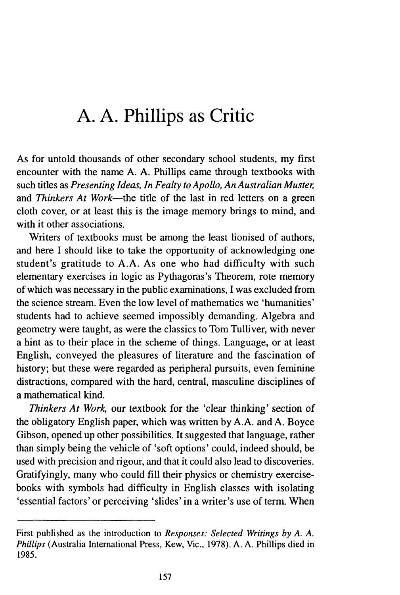As for untold thousands of other secondary school students, my first encounter with the name A. A. Phillips came through textbooks with such titles as *Presenting Ideas, In Fealty to Apollo, An Australian Muster;*  and *Thinkers At Work*—the title of the last in red letters on a green cloth cover, or at least this is the image memory brings to mind, and with it other associations.

Writers of textbooks must be among the least lionised of authors, and here I should like to take the opportunity of acknowledging one student's gratitude to A.A. As one who had difficulty with such elementary exercises in logic as Pythagoras's Theorem, rote memory of which was necessary in the public examinations, I was excluded from the science stream. Even the low level of mathematics we 'humanities' students had to achieve seemed impossibly demanding. Algebra and geometry were taught, as were the classics to Tom Tulliver, with never a hint as to their place in the scheme of things. Language, or at least English, conveyed the pleasures of literature and the fascination of history; but these were regarded as peripheral pursuits, even feminine distractions, compared with the hard, central, masculine disciplines of a mathematical kind.

*Thinkers At Work,* our textbook for the 'clear thinking' section of the obligatory English paper, which was written by A.A. and A. Boyce Gibson, opened up other possibilities. It suggested that language, rather than simply being the vehicle of 'soft options' could, indeed should, be used with precision and rigour, and that it could also lead to discoveries. Gratifyingly, many who could fill their physics or chemistry exercisebooks with symbols had difficulty in English classes with isolating 'essential factors' or perceiving 'slides' in a writer's use of term. When

First published as the introduction to *Responses: Selected Writings by A. A. Phillips* (Australia International Press, Kew, Vic., 1978). A. A. Phillips died in 1985.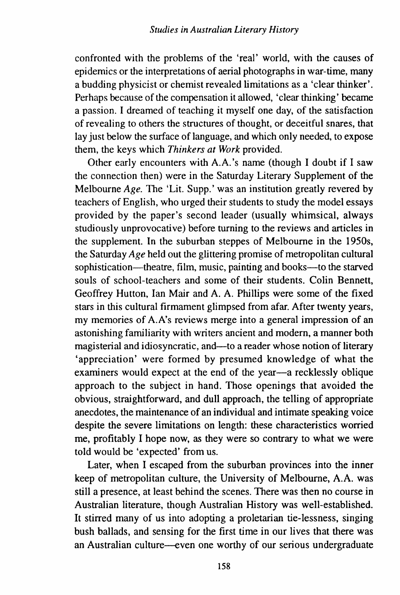confronted with the problems of the 'real' world, with the causes of epidemics or the interpretations of aerial photographs in war-time, many a budding physicist or chemist revealed limitations as a 'clear thinker'. Perhaps because of the compensation it allowed, 'clear thinking' became a passion. I dreamed of teaching it myself one day, of the satisfaction of revealing to others the structures of thought, or deceitful snares, that lay just below the surface of language, and which only needed, to expose them, the keys which *Thinkers at Work* provided.

Other early encounters with A.A.'s name (though I doubt if I saw the connection then) were in the Saturday Literary Supplement of the Melbourne *Age.* The 'Lit. Supp.' was an institution greatly revered by teachers of English, who urged their students to study the model essays provided by the paper's second leader (usually whimsical, always studiously unprovocative) before turning to the reviews and articles in the supplement. In the suburban steppes of Melbourne in the 1950s, the Saturday *Age* held out the glittering promise of metropolitan cultural sophistication—theatre, film, music, painting and books—to the starved souls of school-teachers and some of their students. Colin Bennett, Geoffrey Hutton, Ian Mair and A. A. Phillips were some of the fixed stars in this cultural firmament glimpsed from afar. After twenty years, my memories of A. A's reviews merge into a general impression of an astonishing familiarity with writers ancient and modern, a manner both magisterial and idiosyncratic, and—to a reader whose notion of literary 'appreciation' were formed by presumed knowledge of what the examiners would expect at the end of the year-a recklessly oblique approach to the subject in hand. Those openings that avoided the obvious, straightforward, and dull approach, the telling of appropriate anecdotes, the maintenance of an individual and intimate speaking voice despite the severe limitations on length: these characteristics worried me, profitably I hope now, as they were so contrary to what we were told would be 'expected' from us.

Later, when I escaped from the suburban provinces into the inner keep of metropolitan culture, the University of Melbourne, A.A. was still a presence, at least behind the scenes. There was then no course in Australian literature, though Australian History was well-established. It stirred many of us into adopting a proletarian tie-lessness, singing bush ballads, and sensing for the first time in our lives that there was an Australian culture-even one worthy of our serious undergraduate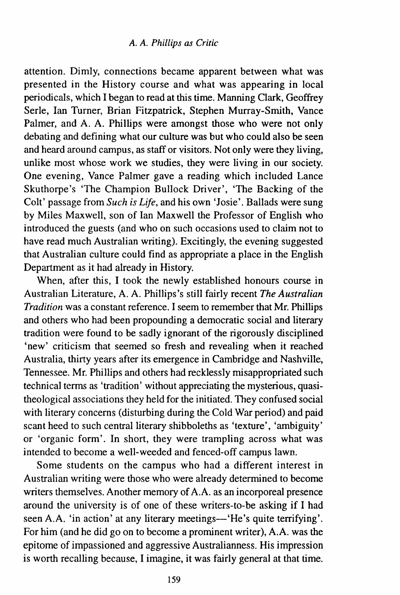attention. Dimly, connections became apparent between what was presented in the History course and what was appearing in local periodicals, which I began to read at this time. Manning Clark, Geoffrey Serle, Ian Turner, Brian Fitzpatrick, Stephen Murray-Smith, Vance Palmer, and A. A. Phillips were amongst those who were not only debating and defining what our culture was but who could also be seen and heard around campus, as staff or visitors. Not only were they living, unlike most whose work we studies, they were living in our society. One evening, Vance Palmer gave a reading which included Lance Skuthorpe's 'The Champion Bullock Driver', 'The Backing of the Colt' passage from *Such is Life,* and his own 'Josie'. Ballads were sung by Miles Maxwell, son of Ian Maxwell the Professor of English who introduced the guests (and who on such occasions used to claim not to have read much Australian writing). Excitingly, the evening suggested that Australian culture could find as appropriate a place in the English Department as it had already in History.

When, after this, I took the newly established honours course in Australian Literature, A. A. Phillips's still fairly recent *The Australian Tradition* was a constant reference. I seem to remember that Mr. Phillips and others who had been propounding a democratic social and literary tradition were found to be sadly ignorant of the rigorously disciplined 'new' criticism that seemed so fresh and revealing when it reached Australia, thirty years after its emergence in Cambridge and Nashville, Tennessee. Mr. Phillips and others had recklessly misappropriated such technical terms as 'tradition' without appreciating the mysterious, quasitheological associations they held for the initiated. They confused social with literary concerns (disturbing during the Cold War period) and paid scant heed to such central literary shibboleths as 'texture', 'ambiguity' or 'organic form'. In short, they were trampling across what was intended to become a well-weeded and fenced-off campus lawn.

Some students on the campus who had a different interest in Australian writing were those who were already determined to become writers themselves. Another memory of A.A. as an incorporeal presence around the university is of one of these writers-to-be asking if I had seen A.A. 'in action' at any literary meetings-'He's quite terrifying'. For him (and he did go on to become a prominent writer), A.A. was the epitome of impassioned and aggressive Australianness. His impression is worth recalling because, I imagine, it was fairly general at that time.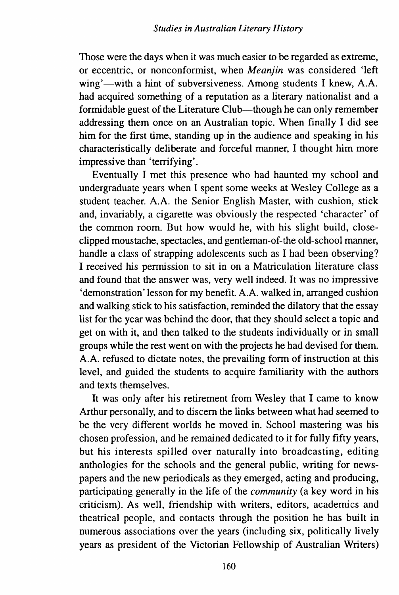Those were the days when it was much easier to be regarded as extreme, or eccentric, or nonconformist, when *Meanjin* was considered 'left wing'—with a hint of subversiveness. Among students I knew, A.A. had acquired something of a reputation as a literary nationalist and a formidable guest of the Literature Club-though he can only remember addressing them once on an Australian topic. When finally I did see him for the first time, standing up in the audience and speaking in his characteristically deliberate and forceful manner, I thought him more impressive than 'terrifying'.

Eventually I met this presence who had haunted my school and undergraduate years when I spent some weeks at Wesley College as a student teacher. A.A. the Senior English Master, with cushion, stick and, invariably, a cigarette was obviously the respected 'character' of the common room. But how would he, with his slight build, closeclipped moustache, spectacles, and gentleman-of-the old-school manner, handle a class of strapping adolescents such as I had been observing? I received his permission to sit in on a Matriculation literature class and found that the answer was, very well indeed. It was no impressive 'demonstration' lesson for my benefit. A.A. walked in, arranged cushion and walking stick to his satisfaction, reminded the dilatory that the essay list for the year was behind the door, that they should select a topic and get on with it, and then talked to the students individually or in small groups while the rest went on with the projects he had devised for them. A.A. refused to dictate notes, the prevailing form of instruction at this level, and guided the students to acquire familiarity with the authors and texts themselves.

It was only after his retirement from Wesley that I came to know Arthur personally, and to discern the links between what had seemed to be the very different worlds he moved in. School mastering was his chosen profession, and he remained dedicated to it for fully fifty years, but his interests spilled over naturally into broadcasting, editing anthologies for the schools and the general public, writing for newspapers and the new periodicals as they emerged, acting and producing, participating generally in the life of the *community* (a key word in his criticism). As well, friendship with writers, editors, academics and theatrical people, and contacts through the position he has built in numerous associations over the years (including six, politically lively years as president of the Victorian Fellowship of Australian Writers)

160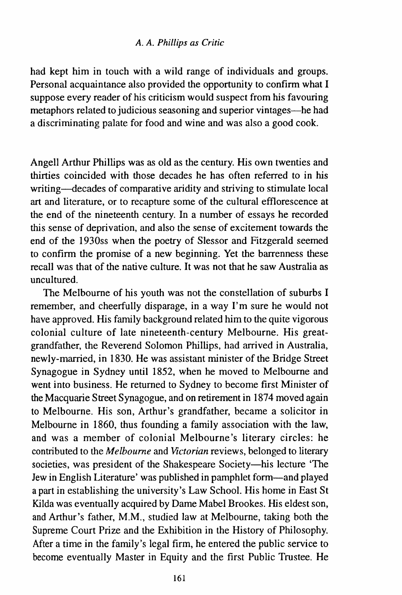had kept him in touch with a wild range of individuals and groups. Personal acquaintance also provided the opportunity to confirm what I suppose every reader of his criticism would suspect from his favouring metaphors related to judicious seasoning and superior vintages-he had a discriminating palate for food and wine and was also a good cook.

Angell Arthur Phillips was as old as the century. His own twenties and thirties coincided with those decades he has often referred to in his writing-decades of comparative aridity and striving to stimulate local art and literature, or to recapture some of the cultural efflorescence at the end of the nineteenth century. In a number of essays he recorded this sense of deprivation, and also the sense of excitement towards the end of the 1930ss when the poetry of Slessor and Fitzgerald seemed to confirm the promise of a new beginning. Yet the barrenness these recall was that of the native culture. It was not that he saw Australia as uncultured.

The Melbourne of his youth was not the constellation of suburbs I remember, and cheerfully disparage, in a way I'm sure he would not have approved. His family background related him to the quite vigorous colonial culture of late nineteenth-century Melbourne. His greatgrandfather, the Reverend Solomon Phillips, had arrived in Australia, newly-married, in 1830. He was assistant minister of the Bridge Street Synagogue in Sydney until 1852, when he moved to Melbourne and went into business. He returned to Sydney to become first Minister of the Macquarie Street Synagogue, and on retirement in 1874 moved again to Melbourne. His son, Arthur's grandfather, became a solicitor in Melbourne in 1860, thus founding a family association with the law, and was a member of colonial Melbourne's literary circles: he contributed to the *Melbourne* and *Victorian* reviews, belonged to literary societies, was president of the Shakespeare Society-his lecture 'The Jew in English Literature' was published in pamphlet form-and played a part in establishing the university's Law School. His home in East St Kilda was eventually acquired by Dame Mabel Brookes. His eldest son, and Arthur's father, M.M., studied law at Melbourne, taking both the Supreme Court Prize and the Exhibition in the History of Philosophy. After a time in the family's legal firm, he entered the public service to become eventually Master in Equity and the first Public Trustee. He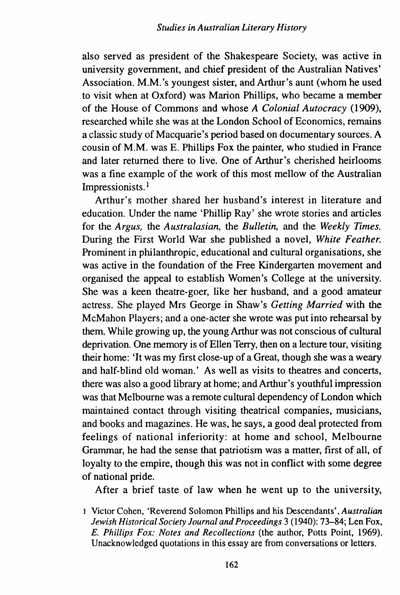also served as president of the Shakespeare Society, was active in university government, and chief president of the Australian Natives' Association. M.M. 's youngest sister, and Arthur's aunt (whom he used to visit when at Oxford) was Marion Phillips, who became a member of the House of Commons and whose *A Colonial Autocracy* (1909), researched while she was at the London School of Economics, remains a classic study of Macquarie's period based on documentary sources. A cousin of M.M. was E. Phillips Fox the painter, who studied in France and later returned there to live. One of Arthur's cherished heirlooms was a fine example of the work of this most mellow of the Australian Impressionists. 1

Arthur's mother shared her husband's interest in literature and education. Under the name 'Phillip Ray' she wrote stories and articles for the *Argus,* the *Australasian,* the *Bulletin,* and the *Weekly Times.*  During the First World War she published a novel, *White Feather.*  Prominent in philanthropic, educational and cultural organisations, she was active in the foundation of the Free Kindergarten movement and organised the appeal to establish Women's College at the university. She was a keen theatre-goer, like her husband, and a good amateur actress. She played Mrs George in Shaw's *Getting Married* with the McMahon Players; and a one-acter she wrote was put into rehearsal by them. While growing up, the young Arthur was not conscious of cultural deprivation. One memory is of Ellen Terry, then on a lecture tour, visiting their home: 'It was my first close-up of a Great, though she was a weary and half-blind old woman.' As well as visits to theatres and concerts, there was also a good library at home; and Arthur's youthful impression was that Melbourne was a remote cultural dependency of London which maintained contact through visiting theatrical companies, musicians, and books and magazines. He was, he says, a good deal protected from feelings of national inferiority: at home and school, Melbourne Grammar, he had the sense that patriotism was a matter, first of all, of loyalty to the empire, though this was not in conflict with some degree of national pride.

After a brief taste of law when he went up to the university,

I Victor Cohen, 'Reverend Solomon Phillips and his Descendants', *Australian Jewish Historical Society Journal and Proceedings* 3 (1940): 73-84; Len Fox, *E. Phillips Fox: Notes and Recollections* (the author, Potts Point, 1969). Unacknowledged quotations in this essay are from conversations or letters.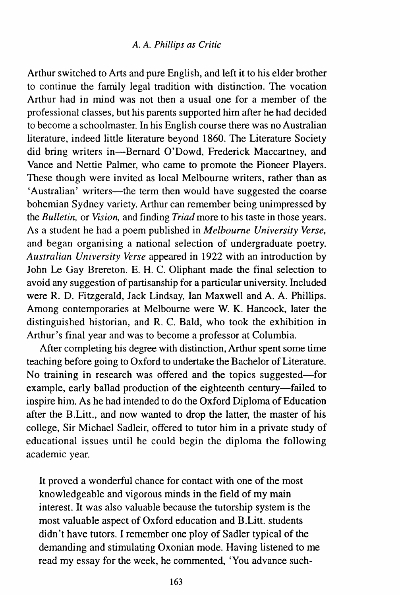Arthur switched to Arts and pure English, and left it to his elder brother to continue the family legal tradition with distinction. The vocation Arthur had in mind was not then a usual one for a member of the professional classes, but his parents supported him after he had decided to become a schoolmaster. In his English course there was no Australian literature, indeed little literature beyond 1860. The Literature Society did bring writers in-Bernard O'Dowd, Frederick Maccartney, and Vance and Nettie Palmer, who came to promote the Pioneer Players. These though were invited as local Melbourne writers, rather than as 'Australian' writers-the term then would have suggested the coarse bohemian Sydney variety. Arthur can remember being unimpressed by the *Bulletin,* or *Vision,* and finding *Triad* more to his taste in those years. As a student he had a poem published in *Melbourne University Verse,*  and began organising a national selection of undergraduate poetry. *Australian University Verse* appeared in 1922 with an introduction by John Le Gay Brereton. E. H. C. Oliphant made the final selection to avoid any suggestion of partisanship for a particular university. Included were R. D. Fitzgerald, Jack Lindsay, Ian Maxwell and A. A. Phillips. Among contemporaries at Melbourne were W. K. Hancock, later the distinguished historian, and R. C. Bald, who took the exhibition in Arthur's final year and was to become a professor at Columbia.

After completing his degree with distinction, Arthur spent some time teaching before going to Oxford to undertake the Bachelor of Literature. No training in research was offered and the topics suggested-for example, early ballad production of the eighteenth century-failed to inspire him. As he had intended to do the Oxford Diploma of Education after the B.Litt., and now wanted to drop the latter, the master of his college, Sir Michael Sadleir, offered to tutor him in a private study of educational issues until he could begin the diploma the following academic year.

It proved a wonderful chance for contact with one of the most knowledgeable and vigorous minds in the field of my main interest. It was also valuable because the tutorship system is the most valuable aspect of Oxford education and B.Litt. students didn't have tutors. I remember one ploy of Sadler typical of the demanding and stimulating Oxonian mode. Having listened to me read my essay for the week, he commented, 'You advance such-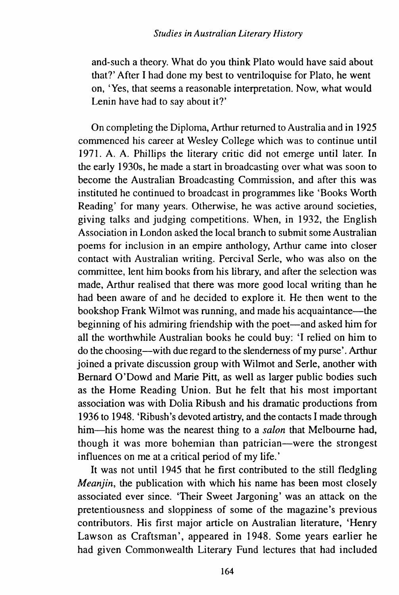## *Studies in Australian Literary History*

and-such a theory. What do you think Plato would have said about that?' After I had done my best to ventriloquise for Plato, he went on, 'Yes, that seems a reasonable interpretation. Now, what would Lenin have had to say about it?'

On completing the Diploma, Arthur returned to Australia and in 1925 commenced his career at Wesley College which was to continue until 1971. A. A. Phillips the literary critic did not emerge until later. In the early 1930s, he made a start in broadcasting over what was soon to become the Australian Broadcasting Commission, and after this was instituted he continued to broadcast in programmes like 'Books Worth Reading' for many years. Otherwise, he was active around societies, giving talks and judging competitions. When, in 1932, the English Association in London asked the local branch to submit some Australian poems for inclusion in an empire anthology, Arthur came into closer contact with Australian writing. Percival Serle, who was also on the committee, lent him books from his library, and after the selection was made, Arthur realised that there was more good local writing than he had been aware of and he decided to explore it. He then went to the bookshop Frank Wilmot was running, and made his acquaintance—the beginning of his admiring friendship with the poet-and asked him for all the worthwhile Australian books he could buy: 'I relied on him to do the choosing-with due regard to the slenderness of my purse'. Arthur joined a private discussion group with Wilmot and Serle, another with Bernard O'Dowd and Marie Pitt, as well as larger public bodies such as the Home Reading Union. But he felt that his most important association was with Dolia Ribush and his dramatic productions from 1936 to 1948. 'Ribush's devoted artistry, and the contacts I made through him-his home was the nearest thing to a *salon* that Melbourne had, though it was more bohemian than patrician—were the strongest influences on me at a critical period of my life.'

It was not until 1945 that he first contributed to the still fledgling *Meanjin*, the publication with which his name has been most closely associated ever since. 'Their Sweet Jargoning' was an attack on the pretentiousness and sloppiness of some of the magazine's previous contributors. His first major article on Australian literature, 'Henry Lawson as Craftsman', appeared in 1948. Some years earlier he had given Commonwealth Literary Fund lectures that had included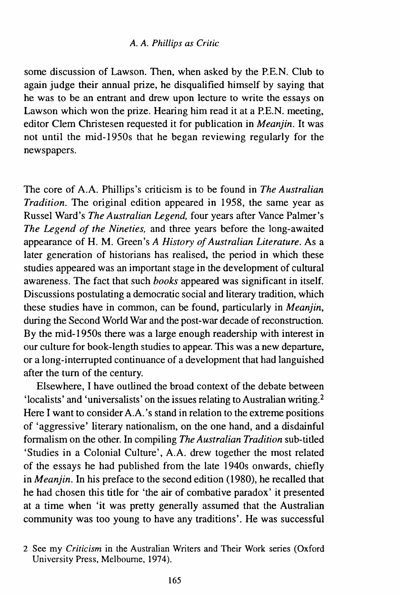some discussion of Lawson. Then, when asked by the P.E.N. Club to again judge their annual prize, he disqualified himself by saying that he was to be an entrant and drew upon lecture to write the essays on Lawson which won the prize. Hearing him read it at a P.E.N. meeting, editor Clem Christesen requested it for publication in *Meanjin.* It was not until the mid-1950s that he began reviewing regularly for the newspapers.

The core of A.A. Phillips's criticism is to be found in *The Australian Tradition.* The original edition appeared in 1958, the same year as Russel Ward's *The Australian Legend,* four years after Vance Palmer's *The Legend of the Nineties,* and three years before the long-awaited appearance of H. M. Green's *A History of Australian Literature.* As a later generation of historians has realised, the period in which these studies appeared was an important stage in the development of cultural awareness. The fact that such *books* appeared was significant in itself. Discussions postulating a democratic social and literary tradition, which these studies have in common, can be found, particularly in *Meanjin,*  during the Second World War and the post-war decade of reconstruction. By the mid-1950s there was a large enough readership with interest in our culture for book-length studies to appear. This was a new departure, or a long-interrupted continuance of a development that had languished after the tum of the century.

Elsewhere, I have outlined the broad context of the debate between 'localists' and 'universalists' on the issues relating to Australian writing.<sup>2</sup> Here I want to consider A.A.'s stand in relation to the extreme positions of 'aggressive' literary nationalism, on the one hand, and a disdainful formalism on the other. In compiling *The Australian Tradition* sub-titled 'Studies in a Colonial Culture', A.A. drew together the most related of the essays he had published from the late 1940s onwards, chiefly in *Meanjin.* In his preface to the second edition (1980), he recalled that he had chosen this title for 'the air of combative paradox' it presented at a time when 'it was pretty generally assumed that the Australian community was too young to have any traditions'. He was successful

<sup>2</sup> See my *Criticism* in the Australian Writers and Their Work series (Oxford University Press, Melbourne, 1974).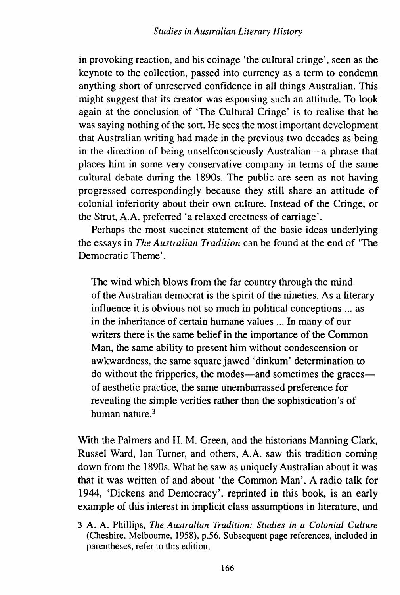in provoking reaction, and his coinage 'the cultural cringe', seen as the keynote to the collection, passed into currency as a term to condemn anything short of unreserved confidence in all things Australian. This might suggest that its creator was espousing such an attitude. To look again at the conclusion of 'The Cultural Cringe' is to realise that he was saying nothing of the sort. He sees the most important development that Australian writing had made in the previous two decades as being in the direction of being unselfconsciously Australian-a phrase that places him in some very conservative company in terms of the same cultural debate during the 1890s. The public are seen as not having progressed correspondingly because they still share an attitude of colonial inferiority about their own culture. Instead of the Cringe, or the Strut, A.A. preferred 'a relaxed erectness of carriage'.

Perhaps the most succinct statement of the basic ideas underlying the essays in *The Australian Tradition* can be found at the end of 'The Democratic Theme'.

The wind which blows from the far country through the mind of the Australian democrat is the spirit of the nineties. As a literary influence it is obvious not so much in political conceptions ... as in the inheritance of certain humane values ... In many of our writers there is the same belief in the importance of the Common Man, the same ability to present him without condescension or awkwardness, the same square jawed 'dinkum' determination to do without the fripperies, the modes—and sometimes the graces of aesthetic practice, the same unembarrassed preference for revealing the simple verities rather than the sophistication's of human nature. 3

With the Palmers and H. M. Green, and the historians Manning Clark, Russel Ward, Ian Turner, and others, A.A. saw this tradition coming down from the 1890s. What he saw as uniquely Australian about it was that it was written of and about 'the Common Man'. A radio talk for 1944, 'Dickens and Democracy', reprinted in this book, is an early example of this interest in implicit class assumptions in literature, and

<sup>3</sup> A. A. Phillips, *The Australian Tradition: Studies in a Colonial Culture*  (Cheshire, Melbourne, 1958}, p.56. Subsequent page references, included in parentheses, refer to this edition.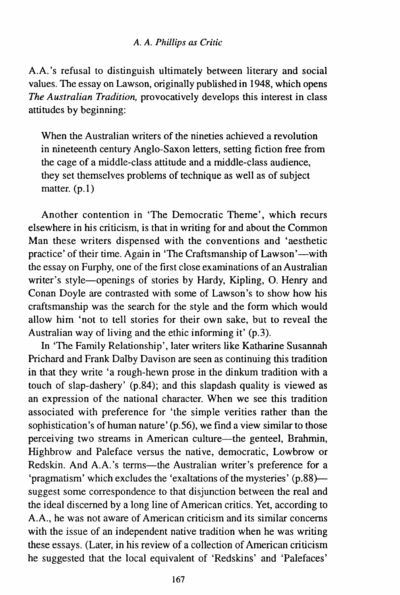A.A.'s refusal to distinguish ultimately between literary and social values. The essay on Lawson, originally published in 1948, which opens *The Australian Tradition,* provocatively develops this interest in class attitudes by beginning:

When the Australian writers of the nineties achieved a revolution in nineteenth century Anglo-Saxon letters, setting fiction free from the cage of a middle-class attitude and a middle-class audience, they set themselves problems of technique as well as of subject matter. (p.l)

Another contention in 'The Democratic Theme', which recurs elsewhere in his criticism, is that in writing for and about the Common Man these writers dispensed with the conventions and 'aesthetic practice' of their time. Again in 'The Craftsmanship of Lawson'—with the essay on Furphy, one of the first close examinations of an Australian writer's style-openings of stories by Hardy, Kipling, O. Henry and Conan Doyle are contrasted with some of Lawson's to show how his craftsmanship was the search for the style and the form which would allow him 'not to tell stories for their own sake, but to reveal the Australian way of living and the ethic informing it' (p.3).

In 'The Family Relationship', later writers like Katharine Susannah Prichard and Frank Dalby Davison are seen as continuing this tradition in that they write 'a rough-hewn prose in the dinkum tradition with a touch of slap-dashery' (p.84); and this slapdash quality is viewed as an expression of the national character. When we see this tradition associated with preference for 'the simple verities rather than the sophistication's of human nature' (p.56), we find a view similar to those perceiving two streams in American culture—the genteel, Brahmin, Highbrow and Paleface versus the native, democratic, Lowbrow or Redskin. And A.A.'s terms-the Australian writer's preference for a 'pragmatism' which excludes the 'exaltations of the mysteries' (p.88} suggest some correspondence to that disjunction between the real and the ideal discerned by a long line of American critics. Yet, according to A.A., he was not aware of American criticism and its similar concerns with the issue of an independent native tradition when he was writing these essays. (Later, in his review of a collection of American criticism he suggested that the local equivalent of 'Redskins' and 'Palefaces'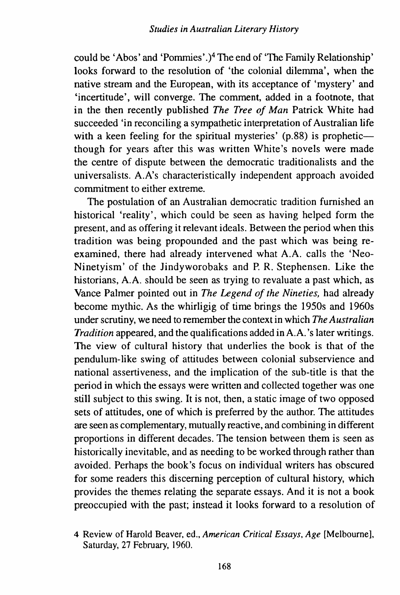could be 'Abos' and 'Pommies' .)4 The end of 'The Family Relationship' looks forward to the resolution of 'the colonial dilemma', when the native stream and the European, with its acceptance of 'mystery' and 'incertitude', will converge. The comment, added in a footnote, that in the then recently published *The Tree of Man* Patrick White had succeeded 'in reconciling a sympathetic interpretation of Australian life with a keen feeling for the spiritual mysteries'  $(p.88)$  is propheticthough for years after this was written White's novels were made the centre of dispute between the democratic traditionalists and the universalists. A.A's characteristically independent approach avoided commitment to either extreme.

The postulation of an Australian democratic tradition furnished an historical 'reality', which could be seen as having helped form the present, and as offering it relevant ideals. Between the period when this tradition was being propounded and the past which was being reexamined, there had already intervened what A.A. calls the 'Neo-Ninetyism' of the Jindyworobaks and P. R. Stephensen. Like the historians, A.A. should be seen as trying to revaluate a past which, as Vance Palmer pointed out in *The Legend of the Nineties,* had already become mythic. As the whirligig of time brings the 1950s and 1960s under scrutiny, we need to remember the context in which *The Australian Tradition* appeared, and the qualifications added in A.A.'s later writings. The view of cultural history that underlies the book is that of the pendulum-like swing of attitudes between colonial subservience and national assertiveness, and the implication of the sub-title is that the period in which the essays were written and collected together was one still subject to this swing. It is not, then, a static image of two opposed sets of attitudes, one of which is preferred by the author. The attitudes are seen as complementary, mutually reactive, and combining in different proportions in different decades. The tension between them is seen as historically inevitable, and as needing to be worked through rather than avoided. Perhaps the book's focus on individual writers has obscured for some readers this discerning perception of cultural history, which provides the themes relating the separate essays. And it is not a book preoccupied with the past; instead it looks forward to a resolution of

<sup>4</sup> Review of Harold Beaver, ed., *American Critical Essays*, Age [Melbourne], Saturday, 27 February, 1960.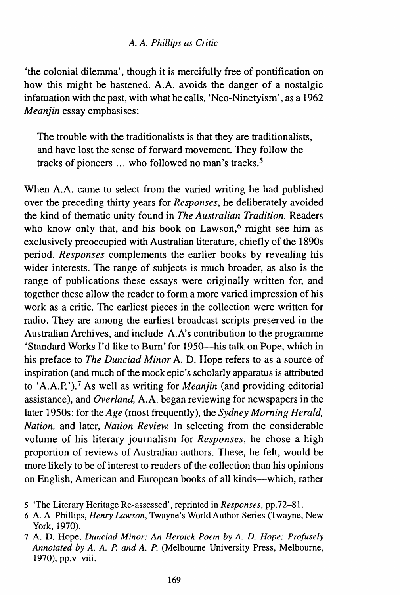'the colonial dilemma', though it is mercifully free of pontification on how this might be hastened. A.A. avoids the danger of a nostalgic infatuation with the past, with what he calls, 'Neo-Ninetyism', as a 1962 *Meanjin* essay emphasises:

The trouble with the traditionalists is that they are traditionalists, and have lost the sense of forward movement. They follow the tracks of pioneers ... who followed no man's tracks. *5* 

When A.A. came to select from the varied writing he had published over the preceding thirty years for *Responses,* he deliberately avoided the kind of thematic unity found in *The Australian Tradition.* Readers who know only that, and his book on Lawson,<sup>6</sup> might see him as exclusively preoccupied with Australian literature, chiefly of the 1890s period. *Responses* complements the earlier books by revealing his wider interests. The range of subjects is much broader, as also is the range of publications these essays were originally written for, and together these allow the reader to form a more varied impression of his work as a critic. The earliest pieces in the collection were written for radio. They are among the earliest broadcast scripts preserved in the Australian Archives, and include A. A's contribution to the programme 'Standard Works I'd like to Burn' for 1950--his talk on Pope, which in his preface to *The Dunciad Minor* A. D. Hope refers to as a source of inspiration (and much of the mock epic's scholarly apparatus is attributed to 'A.A.P. '). 7 As well as writing for *Meanjin* (and providing editorial assistance), and *Overland,* A.A. began reviewing for newspapers in the later 1950s: for the *Age* (most frequently), the *Sydney Morning Herald, Nation,* and later, *Nation Review.* In selecting from the considerable volume of his literary journalism for *Responses,* he chose a high proportion of reviews of Australian authors. These, he felt, would be more likely to be of interest to readers of the collection than his opinions on English, American and European books of all kinds-which, rather

- 5 'The Literary Heritage Re-assessed', reprinted in *Responses,* pp.72-8l.
- 6 A. A. Phillips, *Henry Lawson,* Twayne's World Author Series (Twayne, New York, 1970).
- 7 A. D. Hope, *Dunciad Minor: An Heroick Poem by A. D. Hope: Profusely Annotated by A. A. P. and A. P.* (Melbourne University Press, Melbourne, 1970), pp.v-viii.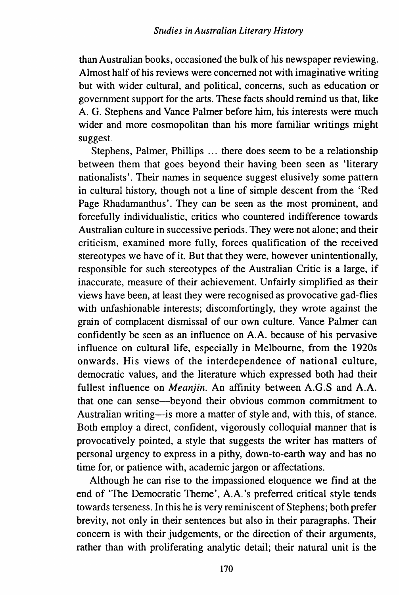than Australian books, occasioned the bulk of his newspaper reviewing. Almost half of his reviews were concerned not with imaginative writing but with wider cultural, and political, concerns, such as education or government support for the arts. These facts should remind us that, like A. G. Stephens and Vance Palmer before him, his interests were much wider and more cosmopolitan than his more familiar writings might suggest.

Stephens, Palmer, Phillips ... there does seem to be a relationship between them that goes beyond their having been seen as 'literary nationalists'. Their names in sequence suggest elusively some pattern in cultural history, though not a line of simple descent from the 'Red Page Rhadamanthus'. They can be seen as the most prominent, and forcefully individualistic, critics who countered indifference towards Australian culture in successive periods. They were not alone; and their criticism, examined more fully, forces qualification of the received stereotypes we have of it. But that they were, however unintentionally, responsible for such stereotypes of the Australian Critic is a large, if inaccurate, measure of their achievement. Unfairly simplified as their views have been, at least they were recognised as provocative gad-flies with unfashionable interests; discomfortingly, they wrote against the grain of complacent dismissal of our own culture. Vance Palmer can confidently be seen as an influence on A.A. because of his pervasive influence on cultural life, especially in Melbourne, from the 1920s onwards. His views of the interdependence of national culture, democratic values, and the literature which expressed both had their fullest influence on *Meanjin.* An affinity between A.G.S and A.A. that one can sense-beyond their obvious common commitment to Australian writing-is more a matter of style and, with this, of stance. Both employ a direct, confident, vigorously colloquial manner that is provocatively pointed, a style that suggests the writer has matters of personal urgency to express in a pithy, down-to-earth way and has no time for, or patience with, academic jargon or affectations.

Although he can rise to the impassioned eloquence we find at the end of 'The Democratic Theme', A.A.'s preferred critical style tends towards terseness. In this he is very reminiscent of Stephens; both prefer brevity, not only in their sentences but also in their paragraphs. Their concern is with their judgements, or the direction of their arguments, rather than with proliferating analytic detail; their natural unit is the